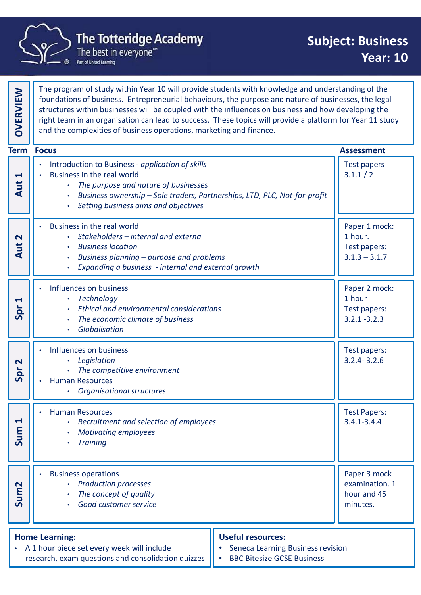

|                                          | <b>The Totteridge Academy</b><br>The best in everyone <sup>™</sup><br>Part of United Learning                                                                                                                                                                                                                                                                                                                                                                                                        | <b>Subject: Business</b><br><b>Year: 10</b>                 |  |
|------------------------------------------|------------------------------------------------------------------------------------------------------------------------------------------------------------------------------------------------------------------------------------------------------------------------------------------------------------------------------------------------------------------------------------------------------------------------------------------------------------------------------------------------------|-------------------------------------------------------------|--|
| <b>OVERVIEW</b>                          | The program of study within Year 10 will provide students with knowledge and understanding of the<br>foundations of business. Entrepreneurial behaviours, the purpose and nature of businesses, the legal<br>structures within businesses will be coupled with the influences on business and how developing the<br>right team in an organisation can lead to success. These topics will provide a platform for Year 11 study<br>and the complexities of business operations, marketing and finance. |                                                             |  |
|                                          | <b>Term Focus</b>                                                                                                                                                                                                                                                                                                                                                                                                                                                                                    | <b>Assessment</b>                                           |  |
| $\blacktriangleleft$<br>Aut              | Introduction to Business - application of skills<br>Business in the real world<br>The purpose and nature of businesses<br>Business ownership - Sole traders, Partnerships, LTD, PLC, Not-for-profit<br>$\bullet$<br>Setting business aims and objectives<br>$\bullet$                                                                                                                                                                                                                                | <b>Test papers</b><br>3.1.1 / 2                             |  |
| $\mathbf{\Omega}$<br>$\overline{a}$<br>⋖ | Business in the real world<br>Stakeholders - internal and externa<br><b>Business location</b><br>$\bullet$<br>Business planning - purpose and problems<br>Expanding a business - internal and external growth                                                                                                                                                                                                                                                                                        | Paper 1 mock:<br>1 hour.<br>Test papers:<br>$3.1.3 - 3.1.7$ |  |
| H<br>Spr                                 | Influences on business<br><b>Technology</b><br>$\bullet$<br><b>Ethical and environmental considerations</b><br>The economic climate of business<br>Globalisation                                                                                                                                                                                                                                                                                                                                     | Paper 2 mock:<br>1 hour<br>Test papers:<br>$3.2.1 - 3.2.3$  |  |
| $\mathbf{\Omega}$<br>Spr                 | Influences on business<br>Legislation<br>$\bullet$<br>The competitive environment<br><b>Human Resources</b><br><b>Organisational structures</b>                                                                                                                                                                                                                                                                                                                                                      | Test papers:<br>$3.2.4 - 3.2.6$                             |  |
| $\blacktriangleleft$<br>Sum              | <b>Human Resources</b><br>Recruitment and selection of employees<br><b>Motivating employees</b><br><b>Training</b><br>$\bullet$                                                                                                                                                                                                                                                                                                                                                                      | <b>Test Papers:</b><br>$3.4.1 - 3.4.4$                      |  |
| Sum <sub>2</sub>                         | <b>Business operations</b><br><b>Production processes</b><br>The concept of quality<br>Good customer service<br>$\bullet$                                                                                                                                                                                                                                                                                                                                                                            | Paper 3 mock<br>examination. 1<br>hour and 45<br>minutes.   |  |
|                                          | <b>Useful resources:</b><br><b>Home Learning:</b><br>• A 1 hour piece set every week will include<br><b>Seneca Learning Business revision</b><br>research, exam questions and consolidation quizzes<br><b>BBC Bitesize GCSE Business</b>                                                                                                                                                                                                                                                             |                                                             |  |